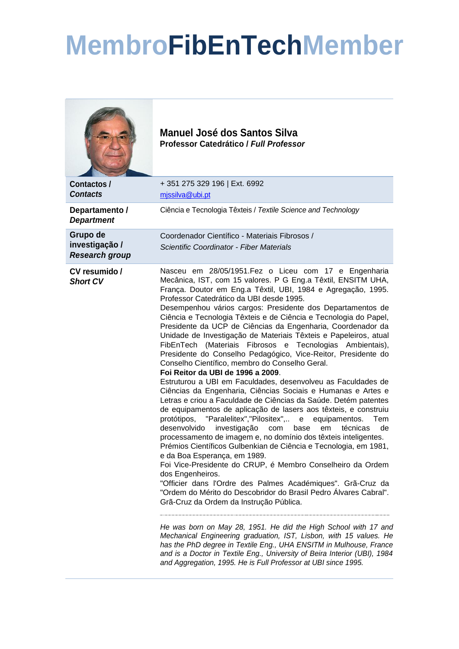## **MembroFibEnTechMember**

|                                                     | <b>Manuel José dos Santos Silva</b><br>Professor Catedrático / Full Professor                                                                                                                                                                                                                                                                                                                                                                                                                                                                                                                                                                                                                                                                                                                                                                                                                                                                                                                                                                                                                                                                                                                                                                                                                                                                                                                                                                                                                                                                                                                                                                                                                                                                                                                                                                                                                                                                  |
|-----------------------------------------------------|------------------------------------------------------------------------------------------------------------------------------------------------------------------------------------------------------------------------------------------------------------------------------------------------------------------------------------------------------------------------------------------------------------------------------------------------------------------------------------------------------------------------------------------------------------------------------------------------------------------------------------------------------------------------------------------------------------------------------------------------------------------------------------------------------------------------------------------------------------------------------------------------------------------------------------------------------------------------------------------------------------------------------------------------------------------------------------------------------------------------------------------------------------------------------------------------------------------------------------------------------------------------------------------------------------------------------------------------------------------------------------------------------------------------------------------------------------------------------------------------------------------------------------------------------------------------------------------------------------------------------------------------------------------------------------------------------------------------------------------------------------------------------------------------------------------------------------------------------------------------------------------------------------------------------------------------|
| Contactos /<br><b>Contacts</b>                      | +351 275 329 196   Ext. 6992<br>mjssilva@ubi.pt                                                                                                                                                                                                                                                                                                                                                                                                                                                                                                                                                                                                                                                                                                                                                                                                                                                                                                                                                                                                                                                                                                                                                                                                                                                                                                                                                                                                                                                                                                                                                                                                                                                                                                                                                                                                                                                                                                |
| Departamento /<br><b>Department</b>                 | Ciência e Tecnologia Têxteis / Textile Science and Technology                                                                                                                                                                                                                                                                                                                                                                                                                                                                                                                                                                                                                                                                                                                                                                                                                                                                                                                                                                                                                                                                                                                                                                                                                                                                                                                                                                                                                                                                                                                                                                                                                                                                                                                                                                                                                                                                                  |
| Grupo de<br>investigação /<br><b>Research group</b> | Coordenador Científico - Materiais Fibrosos /<br>Scientific Coordinator - Fiber Materials                                                                                                                                                                                                                                                                                                                                                                                                                                                                                                                                                                                                                                                                                                                                                                                                                                                                                                                                                                                                                                                                                                                                                                                                                                                                                                                                                                                                                                                                                                                                                                                                                                                                                                                                                                                                                                                      |
| CV resumido /<br><b>Short CV</b>                    | Nasceu em 28/05/1951. Fez o Liceu com 17 e Engenharia<br>Mecânica, IST, com 15 valores. P G Eng.a Têxtil, ENSITM UHA,<br>França. Doutor em Eng.a Têxtil, UBI, 1984 e Agregação, 1995.<br>Professor Catedrático da UBI desde 1995.<br>Desempenhou vários cargos: Presidente dos Departamentos de<br>Ciência e Tecnologia Têxteis e de Ciência e Tecnologia do Papel,<br>Presidente da UCP de Ciências da Engenharia, Coordenador da<br>Unidade de Investigação de Materiais Têxteis e Papeleiros, atual<br>FibEnTech (Materiais Fibrosos e Tecnologias Ambientais),<br>Presidente do Conselho Pedagógico, Vice-Reitor, Presidente do<br>Conselho Científico, membro do Conselho Geral.<br>Foi Reitor da UBI de 1996 a 2009.<br>Estruturou a UBI em Faculdades, desenvolveu as Faculdades de<br>Ciências da Engenharia, Ciências Sociais e Humanas e Artes e<br>Letras e criou a Faculdade de Ciências da Saúde. Detém patentes<br>de equipamentos de aplicação de lasers aos têxteis, e construiu<br>protótipos, "Paralelitex", "Pilositex", e equipamentos.<br>Tem<br>desenvolvido<br>investigação<br>técnicas<br>de<br>com<br>base<br>em<br>processamento de imagem e, no domínio dos têxteis inteligentes.<br>Prémios Científicos Gulbenkian de Ciência e Tecnologia, em 1981,<br>e da Boa Esperança, em 1989.<br>Foi Vice-Presidente do CRUP, é Membro Conselheiro da Ordem<br>dos Engenheiros.<br>"Officier dans l'Ordre des Palmes Académiques". Grã-Cruz da<br>"Ordem do Mérito do Descobridor do Brasil Pedro Álvares Cabral".<br>Grã-Cruz da Ordem da Instrução Pública.<br>He was born on May 28, 1951. He did the High School with 17 and<br>Mechanical Engineering graduation, IST, Lisbon, with 15 values. He<br>has the PhD degree in Textile Eng., UHA ENSITM in Mulhouse, France<br>and is a Doctor in Textile Eng., University of Beira Interior (UBI), 1984<br>and Aggregation, 1995. He is Full Professor at UBI since 1995. |